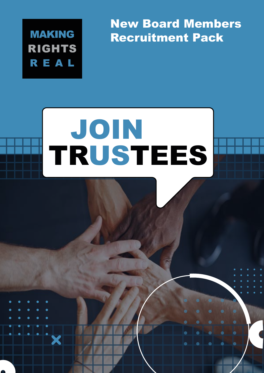**MAKING RIGHTS** REAL

New Board Members Recruitment Pack

# TRUSTEES JOIN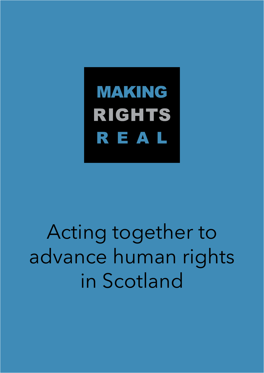**MAKING** RIGHTS REAL

Acting together to advance human rights in Scotland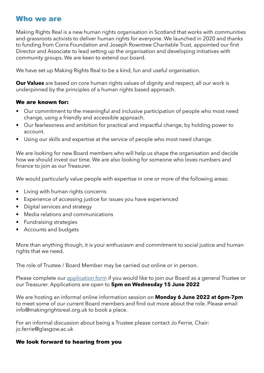# Who we are

Making Rights Real is a new human rights organisation in Scotland that works with communities and grassroots activists to deliver human rights for everyone. We launched in 2020 and thanks to funding from Corra Foundation and Joseph Rowntree Charitable Trust, appointed our first Director and Associate to lead setting up the organisation and developing initiatives with community groups. We are keen to extend our board.

We have set up Making Rights Real to be a kind, fun and useful organisation.

**Our Values** are based on core human rights values of dignity and respect, all our work is underpinned by the principles of a human rights based approach.

#### We are known for:

- Our commitment to the meaningful and inclusive participation of people who most need change, using a friendly and accessible approach.
- Our fearlessness and ambition for practical and impactful change, by holding power to account.
- Using our skills and expertise at the service of people who most need change.

We are looking for new Board members who will help us shape the organisation and decide how we should invest our time. We are also looking for someone who loves numbers and finance to join as our Treasurer.

We would particularly value people with expertise in one or more of the following areas:

- Living with human rights concerns
- Experience of accessing justice for issues you have experienced
- Digital services and strategy
- Media relations and communications
- Fundraising strategies
- Accounts and budgets

More than anything though, it is your enthusiasm and commitment to social justice and human rights that we need.

The role of Trustee / Board Member may be carried out online or in person.

Please complete our [application form](https://forms.gle/iWzLGASMUj7sTEfo9) if you would like to join our Board as a general Trustee or our Treasurer. Applications are open to **5pm on Wednesday 15 June 2022** 

We are hosting an informal online information session on **Monday 6 June 2022 at 6pm-7pm**  to meet some of our current Board members and find out more about the role. Please email info@makingrightsreal.org.uk to book a place.

For an informal discussion about being a Trustee please contact Jo Ferrie, Chair: [jo.ferrie@glasgow.ac.uk](mailto:jo.ferrie@glasgow.ac.uk)

#### We look forward to hearing from you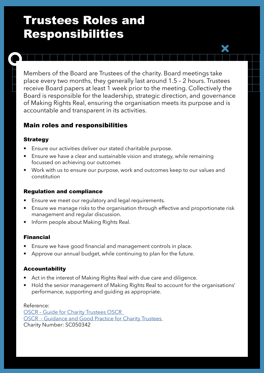# Trustees Roles and Responsibilities

Members of the Board are Trustees of the charity. Board meetings take place every two months, they generally last around 1.5 – 2 hours. Trustees receive Board papers at least 1 week prior to the meeting. Collectively the Board is responsible for the leadership, strategic direction, and governance of Making Rights Real, ensuring the organisation meets its purpose and is accountable and transparent in its activities.

## Main roles and responsibilities

#### Strategy

- Ensure our activities deliver our stated charitable purpose.
- Ensure we have a clear and sustainable vision and strategy, while remaining focussed on achieving our outcomes
- Work with us to ensure our purpose, work and outcomes keep to our values and constitution

#### Regulation and compliance

- Ensure we meet our regulatory and legal requirements.
- Ensure we manage risks to the organisation through effective and proportionate risk management and regular discussion.
- Inform people about Making Rights Real.

#### Financial

- Ensure we have good financial and management controls in place.
- Approve our annual budget, while continuing to plan for the future.

#### Accountability

- Act in the interest of Making Rights Real with due care and diligence.
- Hold the senior management of Making Rights Real to account for the organisations' performance, supporting and guiding as appropriate.

Reference: [OSCR – Guide for Charity Trustees OSCR](https://www.oscr.org.uk/media/3837/easy-read-v4.pdf)  [OSCR - Guidance and Good Practice for Charity Trustees](https://www.oscr.org.uk/media/3621/v10_guidance-and-good-practice-for-charity-trustees.pdf)  Charity Number: SC050342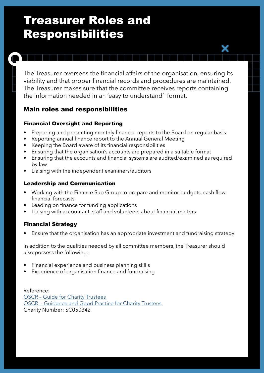# Treasurer Roles and Responsibilities

 viability and that proper financial records and procedures are maintained. The Treasurer oversees the financial affairs of the organisation, ensuring its The Treasurer makes sure that the committee receives reports containing the information needed in an 'easy to understand' format.

# Main roles and responsibilities

## Financial Oversight and Reporting

- Preparing and presenting monthly financial reports to the Board on regular basis
- Reporting annual finance report to the Annual General Meeting
- Keeping the Board aware of its financial responsibilities
- Ensuring that the organisation's accounts are prepared in a suitable format
- Ensuring that the accounts and financial systems are audited/examined as required by law
- Liaising with the independent examiners/auditors

#### Leadership and Communication

- Working with the Finance Sub Group to prepare and monitor budgets, cash flow, financial forecasts
- Leading on finance for funding applications
- Liaising with accountant, staff and volunteers about financial matters

## Financial Strategy

• Ensure that the organisation has an appropriate investment and fundraising strategy

In addition to the qualities needed by all committee members, the Treasurer should also possess the following:

- Financial experience and business planning skills
- Experience of organisation finance and fundraising

Reference: [OSCR – Guide for Charity Trustees](https://www.oscr.org.uk/media/3837/easy-read-v4.pdf)  [OSCR - Guidance and Good Practice for Charity Trustees](https://www.oscr.org.uk/media/3621/v10_guidance-and-good-practice-for-charity-trustees.pdf)  Charity Number: SC050342